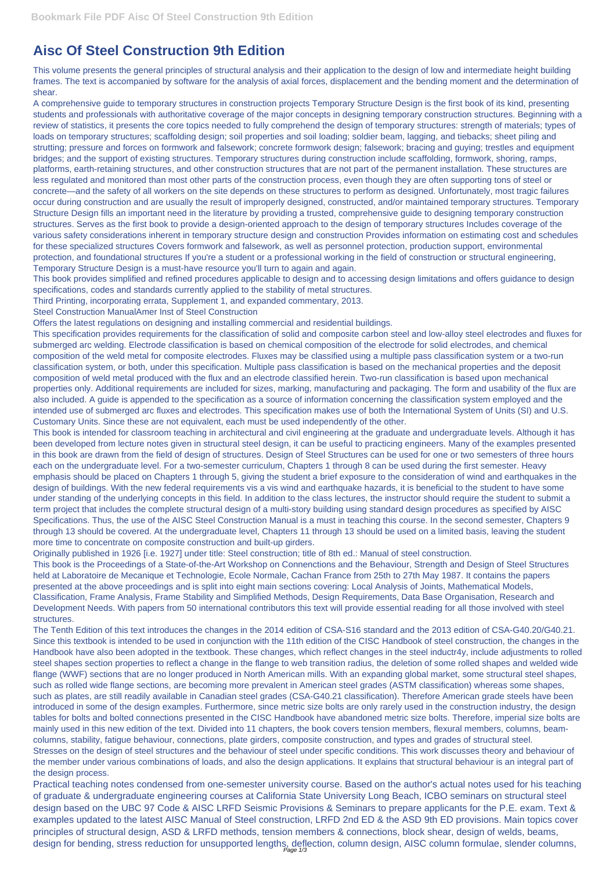## **Aisc Of Steel Construction 9th Edition**

This volume presents the general principles of structural analysis and their application to the design of low and intermediate height building frames. The text is accompanied by software for the analysis of axial forces, displacement and the bending moment and the determination of shear.

A comprehensive guide to temporary structures in construction projects Temporary Structure Design is the first book of its kind, presenting students and professionals with authoritative coverage of the major concepts in designing temporary construction structures. Beginning with a review of statistics, it presents the core topics needed to fully comprehend the design of temporary structures: strength of materials; types of loads on temporary structures; scaffolding design; soil properties and soil loading; soldier beam, lagging, and tiebacks; sheet piling and strutting; pressure and forces on formwork and falsework; concrete formwork design; falsework; bracing and guying; trestles and equipment bridges; and the support of existing structures. Temporary structures during construction include scaffolding, formwork, shoring, ramps, platforms, earth-retaining structures, and other construction structures that are not part of the permanent installation. These structures are less regulated and monitored than most other parts of the construction process, even though they are often supporting tons of steel or concrete—and the safety of all workers on the site depends on these structures to perform as designed. Unfortunately, most tragic failures occur during construction and are usually the result of improperly designed, constructed, and/or maintained temporary structures. Temporary Structure Design fills an important need in the literature by providing a trusted, comprehensive guide to designing temporary construction structures. Serves as the first book to provide a design-oriented approach to the design of temporary structures Includes coverage of the various safety considerations inherent in temporary structure design and construction Provides information on estimating cost and schedules for these specialized structures Covers formwork and falsework, as well as personnel protection, production support, environmental protection, and foundational structures If you're a student or a professional working in the field of construction or structural engineering, Temporary Structure Design is a must-have resource you'll turn to again and again.

This book provides simplified and refined procedures applicable to design and to accessing design limitations and offers guidance to design specifications, codes and standards currently applied to the stability of metal structures.

Third Printing, incorporating errata, Supplement 1, and expanded commentary, 2013.

Steel Construction ManualAmer Inst of Steel Construction

Offers the latest regulations on designing and installing commercial and residential buildings.

This specification provides requirements for the classification of solid and composite carbon steel and low-alloy steel electrodes and fluxes for submerged arc welding. Electrode classification is based on chemical composition of the electrode for solid electrodes, and chemical composition of the weld metal for composite electrodes. Fluxes may be classified using a multiple pass classification system or a two-run classification system, or both, under this specification. Multiple pass classification is based on the mechanical properties and the deposit composition of weld metal produced with the flux and an electrode classified herein. Two-run classification is based upon mechanical properties only. Additional requirements are included for sizes, marking, manufacturing and packaging. The form and usability of the flux are also included. A guide is appended to the specification as a source of information concerning the classification system employed and the intended use of submerged arc fluxes and electrodes. This specification makes use of both the International System of Units (SI) and U.S. Customary Units. Since these are not equivalent, each must be used independently of the other.

This book is intended for classroom teaching in architectural and civil engineering at the graduate and undergraduate levels. Although it has been developed from lecture notes given in structural steel design, it can be useful to practicing engineers. Many of the examples presented in this book are drawn from the field of design of structures. Design of Steel Structures can be used for one or two semesters of three hours each on the undergraduate level. For a two-semester curriculum, Chapters 1 through 8 can be used during the first semester. Heavy emphasis should be placed on Chapters 1 through 5, giving the student a brief exposure to the consideration of wind and earthquakes in the design of buildings. With the new federal requirements vis a vis wind and earthquake hazards, it is beneficial to the student to have some under standing of the underlying concepts in this field. In addition to the class lectures, the instructor should require the student to submit a term project that includes the complete structural design of a multi-story building using standard design procedures as specified by AISC Specifications. Thus, the use of the AISC Steel Construction Manual is a must in teaching this course. In the second semester, Chapters 9 through 13 should be covered. At the undergraduate level, Chapters 11 through 13 should be used on a limited basis, leaving the student more time to concentrate on composite construction and built-up girders.

Originally published in 1926 [i.e. 1927] under title: Steel construction; title of 8th ed.: Manual of steel construction.

This book is the Proceedings of a State-of-the-Art Workshop on Connenctions and the Behaviour, Strength and Design of Steel Structures held at Laboratoire de Mecanique et Technologie, Ecole Normale, Cachan France from 25th to 27th May 1987. It contains the papers presented at the above proceedings and is split into eight main sections covering: Local Analysis of Joints, Mathematical Models, Classification, Frame Analysis, Frame Stability and Simplified Methods, Design Requirements, Data Base Organisation, Research and Development Needs. With papers from 50 international contributors this text will provide essential reading for all those involved with steel structures.

The Tenth Edition of this text introduces the changes in the 2014 edition of CSA-S16 standard and the 2013 edition of CSA-G40.20/G40.21. Since this textbook is intended to be used in conjunction with the 11th edition of the CISC Handbook of steel construction, the changes in the Handbook have also been adopted in the textbook. These changes, which reflect changes in the steel inductr4y, include adjustments to rolled

steel shapes section properties to reflect a change in the flange to web transition radius, the deletion of some rolled shapes and welded wide flange (WWF) sections that are no longer produced in North American mills. With an expanding global market, some structural steel shapes, such as rolled wide flange sections, are becoming more prevalent in American steel grades (ASTM classification) whereas some shapes, such as plates, are still readily available in Canadian steel grades (CSA-G40.21 classification). Therefore American grade steels have been introduced in some of the design examples. Furthermore, since metric size bolts are only rarely used in the construction industry, the design tables for bolts and bolted connections presented in the CISC Handbook have abandoned metric size bolts. Therefore, imperial size bolts are mainly used in this new edition of the text. Divided into 11 chapters, the book covers tension members, flexural members, columns, beamcolumns, stability, fatigue behaviour, connections, plate girders, composite construction, and types and grades of structural steel. Stresses on the design of steel structures and the behaviour of steel under specific conditions. This work discusses theory and behaviour of the member under various combinations of loads, and also the design applications. It explains that structural behaviour is an integral part of the design process.

Practical teaching notes condensed from one-semester university course. Based on the author's actual notes used for his teaching of graduate & undergraduate engineering courses at California State University Long Beach, ICBO seminars on structural steel design based on the UBC 97 Code & AISC LRFD Seismic Provisions & Seminars to prepare applicants for the P.E. exam. Text & examples updated to the latest AISC Manual of Steel construction, LRFD 2nd ED & the ASD 9th ED provisions. Main topics cover principles of structural design, ASD & LRFD methods, tension members & connections, block shear, design of welds, beams, design for bending, stress reduction for unsupported lengths, deflection, column design, AISC column formulae, slender columns, Page 1/3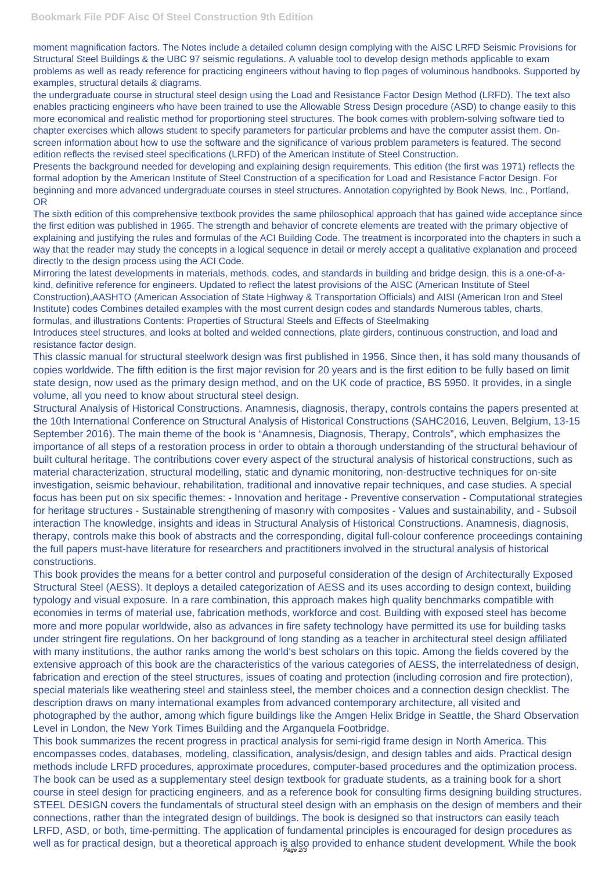moment magnification factors. The Notes include a detailed column design complying with the AISC LRFD Seismic Provisions for Structural Steel Buildings & the UBC 97 seismic regulations. A valuable tool to develop design methods applicable to exam problems as well as ready reference for practicing engineers without having to flop pages of voluminous handbooks. Supported by examples, structural details & diagrams.

the undergraduate course in structural steel design using the Load and Resistance Factor Design Method (LRFD). The text also enables practicing engineers who have been trained to use the Allowable Stress Design procedure (ASD) to change easily to this more economical and realistic method for proportioning steel structures. The book comes with problem-solving software tied to chapter exercises which allows student to specify parameters for particular problems and have the computer assist them. Onscreen information about how to use the software and the significance of various problem parameters is featured. The second edition reflects the revised steel specifications (LRFD) of the American Institute of Steel Construction.

Presents the background needed for developing and explaining design requirements. This edition (the first was 1971) reflects the formal adoption by the American Institute of Steel Construction of a specification for Load and Resistance Factor Design. For beginning and more advanced undergraduate courses in steel structures. Annotation copyrighted by Book News, Inc., Portland, OR

The sixth edition of this comprehensive textbook provides the same philosophical approach that has gained wide acceptance since the first edition was published in 1965. The strength and behavior of concrete elements are treated with the primary objective of explaining and justifying the rules and formulas of the ACI Building Code. The treatment is incorporated into the chapters in such a way that the reader may study the concepts in a logical sequence in detail or merely accept a qualitative explanation and proceed directly to the design process using the ACI Code.

This book provides the means for a better control and purposeful consideration of the design of Architecturally Exposed Structural Steel (AESS). It deploys a detailed categorization of AESS and its uses according to design context, building typology and visual exposure. In a rare combination, this approach makes high quality benchmarks compatible with economies in terms of material use, fabrication methods, workforce and cost. Building with exposed steel has become more and more popular worldwide, also as advances in fire safety technology have permitted its use for building tasks under stringent fire regulations. On her background of long standing as a teacher in architectural steel design affiliated with many institutions, the author ranks among the world's best scholars on this topic. Among the fields covered by the extensive approach of this book are the characteristics of the various categories of AESS, the interrelatedness of design, fabrication and erection of the steel structures, issues of coating and protection (including corrosion and fire protection), special materials like weathering steel and stainless steel, the member choices and a connection design checklist. The description draws on many international examples from advanced contemporary architecture, all visited and photographed by the author, among which figure buildings like the Amgen Helix Bridge in Seattle, the Shard Observation Level in London, the New York Times Building and the Arganquela Footbridge. This book summarizes the recent progress in practical analysis for semi-rigid frame design in North America. This encompasses codes, databases, modeling, classification, analysis/design, and design tables and aids. Practical design methods include LRFD procedures, approximate procedures, computer-based procedures and the optimization process. The book can be used as a supplementary steel design textbook for graduate students, as a training book for a short course in steel design for practicing engineers, and as a reference book for consulting firms designing building structures. STEEL DESIGN covers the fundamentals of structural steel design with an emphasis on the design of members and their connections, rather than the integrated design of buildings. The book is designed so that instructors can easily teach LRFD, ASD, or both, time-permitting. The application of fundamental principles is encouraged for design procedures as well as for practical design, but a theoretical approach is also provided to enhance student development. While the book

Mirroring the latest developments in materials, methods, codes, and standards in building and bridge design, this is a one-of-akind, definitive reference for engineers. Updated to reflect the latest provisions of the AISC (American Institute of Steel Construction),AASHTO (American Association of State Highway & Transportation Officials) and AISI (American Iron and Steel Institute) codes Combines detailed examples with the most current design codes and standards Numerous tables, charts, formulas, and illustrations Contents: Properties of Structural Steels and Effects of Steelmaking

Introduces steel structures, and looks at bolted and welded connections, plate girders, continuous construction, and load and resistance factor design.

This classic manual for structural steelwork design was first published in 1956. Since then, it has sold many thousands of copies worldwide. The fifth edition is the first major revision for 20 years and is the first edition to be fully based on limit state design, now used as the primary design method, and on the UK code of practice, BS 5950. It provides, in a single volume, all you need to know about structural steel design.

Structural Analysis of Historical Constructions. Anamnesis, diagnosis, therapy, controls contains the papers presented at the 10th International Conference on Structural Analysis of Historical Constructions (SAHC2016, Leuven, Belgium, 13-15 September 2016). The main theme of the book is "Anamnesis, Diagnosis, Therapy, Controls", which emphasizes the importance of all steps of a restoration process in order to obtain a thorough understanding of the structural behaviour of built cultural heritage. The contributions cover every aspect of the structural analysis of historical constructions, such as material characterization, structural modelling, static and dynamic monitoring, non-destructive techniques for on-site investigation, seismic behaviour, rehabilitation, traditional and innovative repair techniques, and case studies. A special focus has been put on six specific themes: - Innovation and heritage - Preventive conservation - Computational strategies for heritage structures - Sustainable strengthening of masonry with composites - Values and sustainability, and - Subsoil interaction The knowledge, insights and ideas in Structural Analysis of Historical Constructions. Anamnesis, diagnosis, therapy, controls make this book of abstracts and the corresponding, digital full-colour conference proceedings containing the full papers must-have literature for researchers and practitioners involved in the structural analysis of historical constructions.